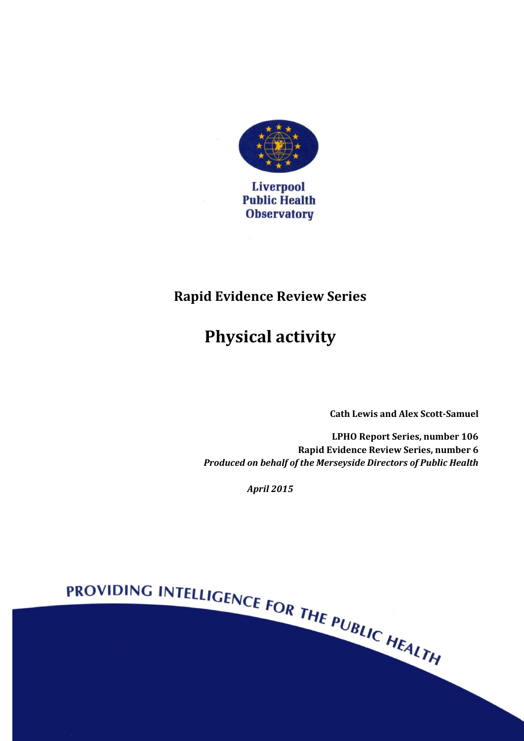

## **Rapid Evidence Review Series**

# **Physical activity**

**Cath Lewis and Alex Scott-Samuel**

**LPHO Report Series, number 106 Rapid Evidence Review Series, number 6** *Produced on behalf of the Merseyside Directors of Public Health*

*April 2015*

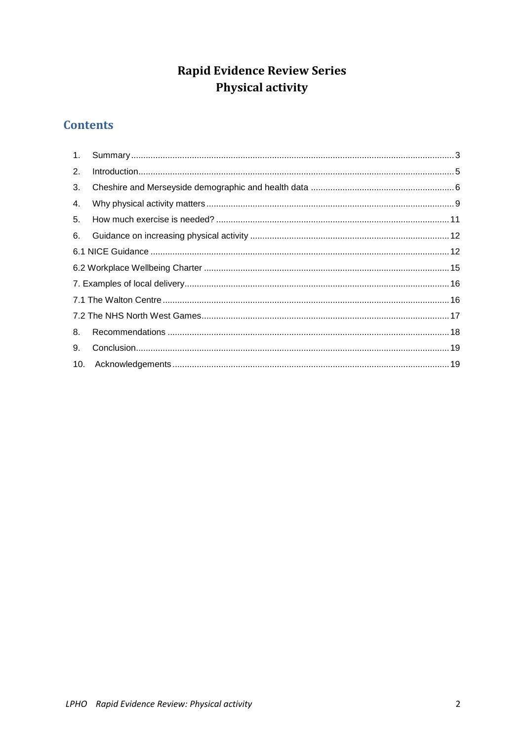## **Rapid Evidence Review Series** Physical activity

## **Contents**

| 2. | $\label{eq:1} \text{Introduction}.\textcolor{red}{.}\textcolor{blue}{.}\textcolor{blue}{.}\textcolor{blue}{.}\textcolor{blue}{.}\textcolor{blue}{.}\textcolor{blue}{.}\textcolor{blue}{.}\textcolor{blue}{.}\textcolor{blue}{.}\textcolor{blue}{.}\textcolor{blue}{.}\textcolor{blue}{.}\textcolor{blue}{.}\textcolor{blue}{.}\textcolor{blue}{.}\textcolor{blue}{.}\textcolor{blue}{.}\textcolor{blue}{.}\textcolor{blue}{.}\textcolor{blue}{.}\textcolor{blue}{.}\textcolor{blue}{.}\textcolor{blue}{.}\textcolor{blue}{.}\textcolor{blue}{.}\textcolor{blue}{.}\textcolor{blue}{.}\textcolor{blue}{.}\textcolor{blue$ |  |
|----|--------------------------------------------------------------------------------------------------------------------------------------------------------------------------------------------------------------------------------------------------------------------------------------------------------------------------------------------------------------------------------------------------------------------------------------------------------------------------------------------------------------------------------------------------------------------------------------------------------------------------|--|
| 3. |                                                                                                                                                                                                                                                                                                                                                                                                                                                                                                                                                                                                                          |  |
| 4. |                                                                                                                                                                                                                                                                                                                                                                                                                                                                                                                                                                                                                          |  |
| 5. |                                                                                                                                                                                                                                                                                                                                                                                                                                                                                                                                                                                                                          |  |
| 6. |                                                                                                                                                                                                                                                                                                                                                                                                                                                                                                                                                                                                                          |  |
|    |                                                                                                                                                                                                                                                                                                                                                                                                                                                                                                                                                                                                                          |  |
|    |                                                                                                                                                                                                                                                                                                                                                                                                                                                                                                                                                                                                                          |  |
|    |                                                                                                                                                                                                                                                                                                                                                                                                                                                                                                                                                                                                                          |  |
|    |                                                                                                                                                                                                                                                                                                                                                                                                                                                                                                                                                                                                                          |  |
|    |                                                                                                                                                                                                                                                                                                                                                                                                                                                                                                                                                                                                                          |  |
| 8. |                                                                                                                                                                                                                                                                                                                                                                                                                                                                                                                                                                                                                          |  |
| 9. |                                                                                                                                                                                                                                                                                                                                                                                                                                                                                                                                                                                                                          |  |
|    |                                                                                                                                                                                                                                                                                                                                                                                                                                                                                                                                                                                                                          |  |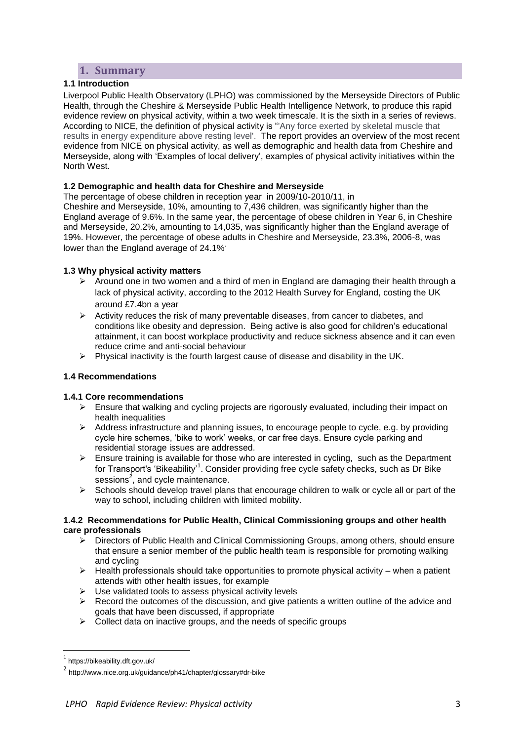## **1. Summary**

#### <span id="page-2-0"></span>**1.1 Introduction**

Liverpool Public Health Observatory (LPHO) was commissioned by the Merseyside Directors of Public Health, through the Cheshire & Merseyside Public Health Intelligence Network, to produce this rapid evidence review on physical activity, within a two week timescale. It is the sixth in a series of reviews. According to NICE, the definition of physical activity is "'Any force exerted by skeletal muscle that results in energy expenditure above resting level'. The report provides an overview of the most recent evidence from NICE on physical activity, as well as demographic and health data from Cheshire and Merseyside, along with 'Examples of local delivery', examples of physical activity initiatives within the North West.

#### **1.2 Demographic and health data for Cheshire and Merseyside**

The percentage of obese children in reception year in 2009/10-2010/11, in Cheshire and Merseyside, 10%, amounting to 7,436 children, was significantly higher than the England average of 9.6%. In the same year, the percentage of obese children in Year 6, in Cheshire and Merseyside, 20.2%, amounting to 14,035, was significantly higher than the England average of 19%. However, the percentage of obese adults in Cheshire and Merseyside, 23.3%, 2006-8, was lower than the England average of 24.1%.

#### **1.3 Why physical activity matters**

- $\triangleright$  Around one in two women and a third of men in England are damaging their health through a lack of physical activity, according to the 2012 Health Survey for England, costing the UK around £7.4bn a year
- $\triangleright$  Activity reduces the risk of many preventable diseases, from cancer to diabetes, and conditions like obesity and depression. Being active is also good for children's educational attainment, it can boost workplace productivity and reduce sickness absence and it can even reduce crime and anti-social behaviour
- $\triangleright$  Physical inactivity is the fourth largest cause of disease and disability in the UK.

#### **1.4 Recommendations**

#### **1.4.1 Core recommendations**

- $\triangleright$  Ensure that walking and cycling projects are rigorously evaluated, including their impact on health inequalities
- $\triangleright$  Address infrastructure and planning issues, to encourage people to cycle, e.g. by providing cycle hire schemes, 'bike to work' weeks, or car free days. Ensure cycle parking and residential storage issues are addressed.
- $\triangleright$  Ensure training is available for those who are interested in cycling, such as the Department for Transport's ['Bikeability'](http://www.dft.gov.uk/bikeability/)<sup>1</sup>. Consider providing free cycle safety checks, such as [Dr Bike](http://www.nice.org.uk/guidance/ph41/chapter/glossary#dr-bike) sessions $^2$ , and cycle maintenance.
- $\triangleright$  Schools should develop travel plans that encourage children to walk or cycle all or part of the way to school, including children with limited mobility.

#### **1.4.2 Recommendations for Public Health, Clinical Commissioning groups and other health care professionals**

- Directors of Public Health and Clinical Commissioning Groups, among others, should ensure that ensure a senior member of the public health team is responsible for promoting walking and cycling
- $\triangleright$  Health professionals should take opportunities to promote physical activity when a patient attends with other health issues, for example
- $\triangleright$  Use validated tools to assess physical activity levels
- $\triangleright$  Record the outcomes of the discussion, and give patients a written outline of the advice and goals that have been discussed, if appropriate
- $\triangleright$  Collect data on inactive groups, and the needs of specific groups

<sup>1</sup> https://bikeability.dft.gov.uk/

<sup>2</sup> http://www.nice.org.uk/guidance/ph41/chapter/glossary#dr-bike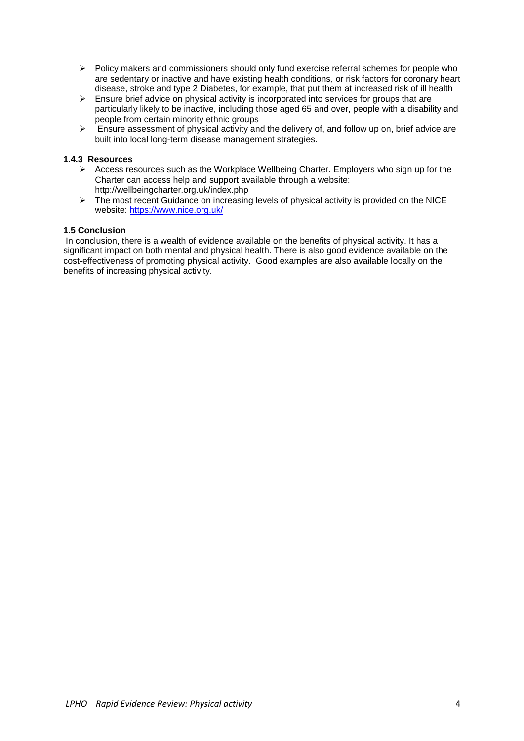- $\triangleright$  Policy makers and commissioners should only fund exercise referral schemes for people who are [sedentary](https://www.nice.org.uk/guidance/ph54/chapter/glossary#sedentary) or [inactive](https://www.nice.org.uk/guidance/ph54/chapter/glossary#inactive) and have existing health conditions, or risk factors for coronary heart disease, stroke and type 2 Diabetes, for example, that put them at increased risk of ill health
- $\triangleright$  Ensure brief advice on physical activity is incorporated into services for groups that are particularly likely to be inactive, including those aged 65 and over, people with a disability and people from certain minority ethnic groups
- $\triangleright$  Ensure assessment of physical activity and the delivery of, and follow up on, brief advice are built into local long-term disease management strategies.

#### **1.4.3 Resources**

- $\triangleright$  Access resources such as the Workplace Wellbeing Charter. Employers who sign up for the Charter can access help and support available through a website: <http://wellbeingcharter.org.uk/index.php>
- $\triangleright$  The most recent Guidance on increasing levels of physical activity is provided on the NICE website:<https://www.nice.org.uk/>

#### **1.5 Conclusion**

In conclusion, there is a wealth of evidence available on the benefits of physical activity. It has a significant impact on both mental and physical health. There is also good evidence available on the cost-effectiveness of promoting physical activity. Good examples are also available locally on the benefits of increasing physical activity.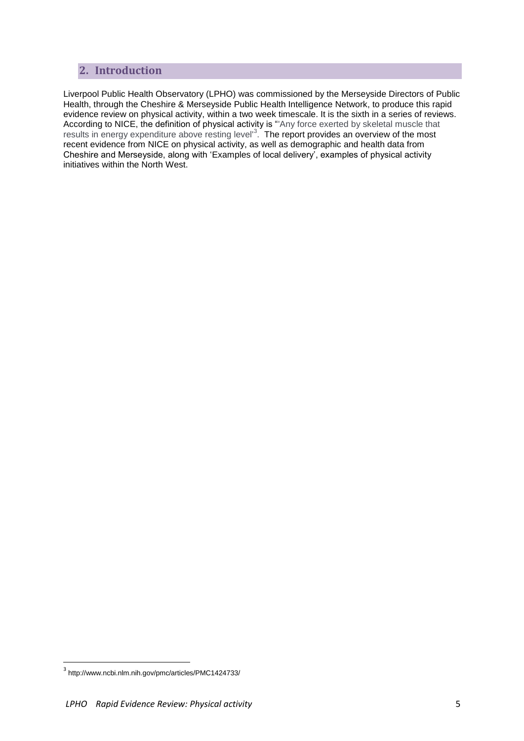## <span id="page-4-0"></span>**2. Introduction**

Liverpool Public Health Observatory (LPHO) was commissioned by the Merseyside Directors of Public Health, through the Cheshire & Merseyside Public Health Intelligence Network, to produce this rapid evidence review on physical activity, within a two week timescale. It is the sixth in a series of reviews. According to NICE, the definition of physical activity is "'Any force exerted by skeletal muscle that results in energy expenditure above resting level<sup>3</sup>. The report provides an overview of the most recent evidence from NICE on physical activity, as well as demographic and health data from Cheshire and Merseyside, along with 'Examples of local delivery', examples of physical activity initiatives within the North West.

<sup>3</sup> http://www.ncbi.nlm.nih.gov/pmc/articles/PMC1424733/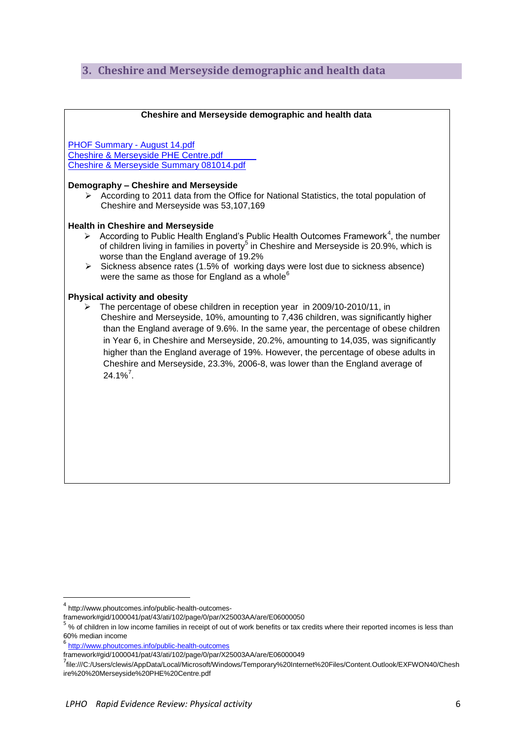## <span id="page-5-0"></span>**3. Cheshire and Merseyside demographic and health data**

#### **Cheshire and Merseyside demographic and health data**

[PHOF Summary -](file://ufs01/user01/CLEWIS/PHOF%20Summary%20-%20August%2014.pdf) August 14.pdf [Cheshire & Merseyside PHE Centre.pdf](file://ufs01/user01/CLEWIS/Cheshire%20&%20Merseyside%20PHE%20Centre.pdf) [Cheshire & Merseyside Summary 081014.pdf](file://ufs01/user01/CLEWIS/Cheshire%20&%20Merseyside%20Summary%20081014.pdf)

#### **Demography – Cheshire and Merseyside**

 According to 2011 data from the Office for National Statistics, the total population of Cheshire and Merseyside was 53,107,169

#### **Health in Cheshire and Merseyside**

- According to Public Health England's Public Health Outcomes Framework<sup>4</sup>, the number of children living in families in poverty<sup>5</sup> in Cheshire and Merseyside is 20.9%, which is worse than the England average of 19.2%
- $\triangleright$  Sickness absence rates (1.5% of working days were lost due to sickness absence) were the same as those for England as a whole $<sup>6</sup>$ </sup>

#### **Physical activity and obesity**

 The percentage of obese children in reception year in 2009/10-2010/11, in Cheshire and Merseyside, 10%, amounting to 7,436 children, was significantly higher than the England average of 9.6%. In the same year, the percentage of obese children in Year 6, in Cheshire and Merseyside, 20.2%, amounting to 14,035, was significantly higher than the England average of 19%. However, the percentage of obese adults in Cheshire and Merseyside, 23.3%, 2006-8, was lower than the England average of  $24.1\%$ <sup>7</sup>.

<sup>4</sup> http://www.phoutcomes.info/public-health-outcomes-

framework#gid/1000041/pat/43/ati/102/page/0/par/X25003AA/are/E06000050

<sup>5</sup> % of children in low income families in receipt of out of work benefits or tax credits where their reported incomes is less than 60% median income

<sup>6</sup> <http://www.phoutcomes.info/public-health-outcomes>

framework#gid/1000041/pat/43/ati/102/page/0/par/X25003AA/are/E06000049

<sup>7&</sup>lt;br>File:///C:/Users/clewis/AppData/Local/Microsoft/Windows/Temporary%20Internet%20Files/Content.Outlook/EXFWON40/Chesh ire%20%20Merseyside%20PHE%20Centre.pdf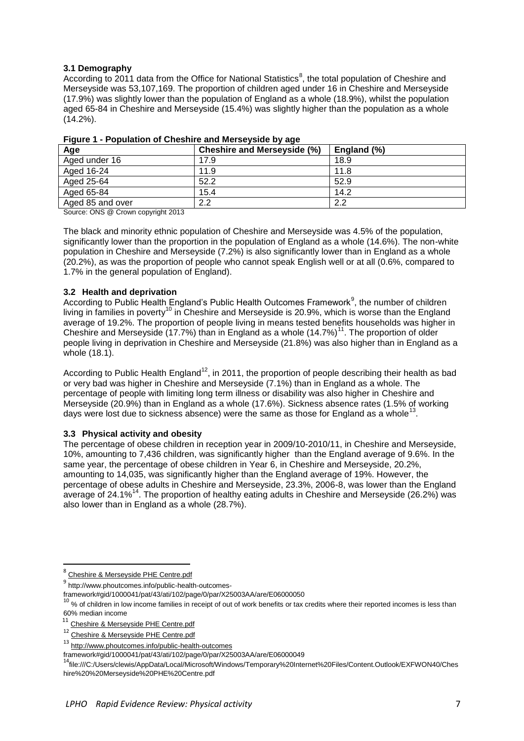#### **3.1 Demography**

According to 2011 data from the Office for National Statistics<sup>8</sup>, the total population of Cheshire and Merseyside was 53,107,169. The proportion of children aged under 16 in Cheshire and Merseyside (17.9%) was slightly lower than the population of England as a whole (18.9%), whilst the population aged 65-84 in Cheshire and Merseyside (15.4%) was slightly higher than the population as a whole (14.2%).

| Age              | Cheshire and Merseyside (%) | England (%) |
|------------------|-----------------------------|-------------|
| Aged under 16    | 17.9                        | 18.9        |
| Aged 16-24       | 11.9                        | 11.8        |
| Aged 25-64       | 52.2                        | 52.9        |
| Aged 65-84       | 15.4                        | 14.2        |
| Aged 85 and over | 2.2                         | 2.2         |

#### **Figure 1 - Population of Cheshire and Merseyside by age**

Source: ONS @ Crown copyright 2013

The black and minority ethnic population of Cheshire and Merseyside was 4.5% of the population, significantly lower than the proportion in the population of England as a whole (14.6%). The non-white population in Cheshire and Merseyside (7.2%) is also significantly lower than in England as a whole (20.2%), as was the proportion of people who cannot speak English well or at all (0.6%, compared to 1.7% in the general population of England).

#### **3.2 Health and deprivation**

According to Public Health England's Public Health Outcomes Framework<sup>9</sup>, the number of children living in families in poverty<sup>10</sup> in Cheshire and Merseyside is 20.9%, which is worse than the England average of 19.2%. The proportion of people living in means tested benefits households was higher in Cheshire and Merseyside (17.7%) than in England as a whole  $(14.7%)$ <sup>11</sup>. The proportion of older people living in deprivation in Cheshire and Merseyside (21.8%) was also higher than in England as a whole (18.1).

According to Public Health England<sup>12</sup>, in 2011, the proportion of people describing their health as bad or very bad was higher in Cheshire and Merseyside (7.1%) than in England as a whole. The percentage of people with limiting long term illness or disability was also higher in Cheshire and Merseyside (20.9%) than in England as a whole (17.6%). Sickness absence rates (1.5% of working days were lost due to sickness absence) were the same as those for England as a whole<sup>13</sup>.

#### **3.3 Physical activity and obesity**

The percentage of obese children in reception year in 2009/10-2010/11, in Cheshire and Merseyside, 10%, amounting to 7,436 children, was significantly higher than the England average of 9.6%. In the same year, the percentage of obese children in Year 6, in Cheshire and Merseyside, 20.2%, amounting to 14,035, was significantly higher than the England average of 19%. However, the percentage of obese adults in Cheshire and Merseyside, 23.3%, 2006-8, was lower than the England average of 24.1%<sup>14</sup>. The proportion of healthy eating adults in Cheshire and Merseyside (26.2%) was also lower than in England as a whole (28.7%).

 8 [Cheshire & Merseyside PHE Centre.pdf](file://ufs01/user01/CLEWIS/Cheshire%20&%20Merseyside%20PHE%20Centre.pdf)

<sup>&</sup>lt;sup>9</sup> http://www.phoutcomes.info/public-health-outcomes-

framework#gid/1000041/pat/43/ati/102/page/0/par/X25003AA/are/E06000050

 $10$  % of children in low income families in receipt of out of work benefits or tax credits where their reported incomes is less than 60% median income

<sup>&</sup>lt;sup>11</sup> [Cheshire & Merseyside PHE Centre.pdf](file://ufs01/user01/CLEWIS/Cheshire%20&%20Merseyside%20PHE%20Centre.pdf)

<sup>&</sup>lt;sup>12</sup> [Cheshire & Merseyside PHE Centre.pdf](file://ufs01/user01/CLEWIS/Cheshire%20&%20Merseyside%20PHE%20Centre.pdf)

<sup>13</sup> <http://www.phoutcomes.info/public-health-outcomes>

framework#gid/1000041/pat/43/ati/102/page/0/par/X25003AA/are/E06000049

<sup>14</sup>file:///C:/Users/clewis/AppData/Local/Microsoft/Windows/Temporary%20Internet%20Files/Content.Outlook/EXFWON40/Ches hire%20%20Merseyside%20PHE%20Centre.pdf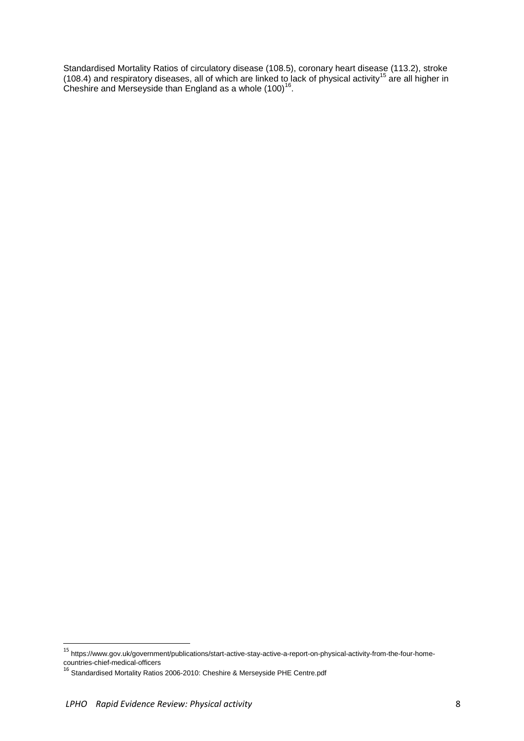Standardised Mortality Ratios of circulatory disease (108.5), coronary heart disease (113.2), stroke (108.4) and respiratory diseases, all of which are linked to lack of physical activity<sup>15</sup> are all higher in Cheshire and Merseyside than England as a whole  $(100)^{16}$ .

<sup>15</sup> https://www.gov.uk/government/publications/start-active-stay-active-a-report-on-physical-activity-from-the-four-homecountries-chief-medical-officers

<sup>&</sup>lt;sup>16</sup> Standardised Mortality Ratios 2006-2010: [Cheshire & Merseyside PHE Centre.pdf](file://ufs01/user01/CLEWIS/Cheshire%20&%20Merseyside%20PHE%20Centre.pdf)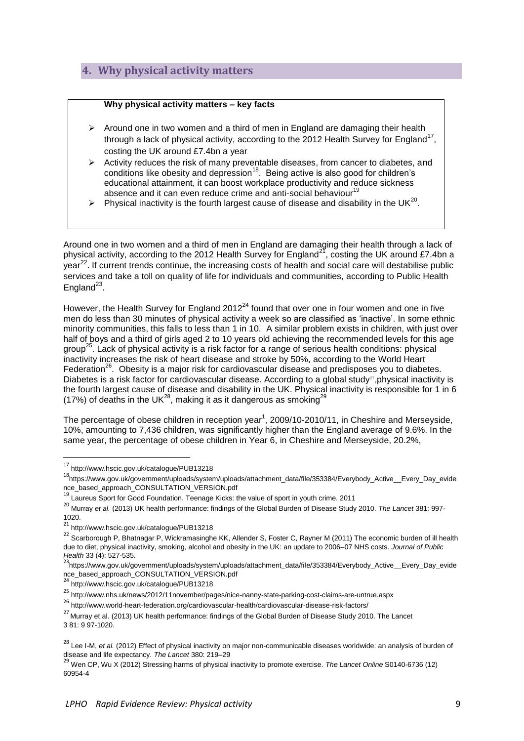## <span id="page-8-0"></span>**4. Why physical activity matters**

#### **Why physical activity matters – key facts**

- $\triangleright$  Around one in two women and a third of men in England are damaging their health through a lack of physical activity, according to the 2012 Health Survey for England<sup>17</sup>, costing the UK around £7.4bn a year
- $\triangleright$  Activity reduces the risk of many preventable diseases, from cancer to diabetes, and conditions like obesity and depression<sup>18</sup>. Being active is also good for children's educational attainment, it can boost workplace productivity and reduce sickness absence and it can even reduce crime and anti-social behaviour<sup>19</sup>
- $\triangleright$  Physical inactivity is the fourth largest cause of disease and disability in the UK<sup>20</sup>.

Around one in two women and a third of men in England are damaging their health through a lack of physical activity, according to the 2012 Health Survey for England<sup>21</sup>, costing the UK around £7.4bn a year<sup>22</sup>. If current trends continue, the increasing costs of health and social care will destabilise public services and take a toll on quality of life for individuals and communities, according to Public Health England $^{23}$ .

However, the Health Survey for England 2012<sup>24</sup> found that over one in four women and one in five men do less than 30 minutes of physical activity a week so are classified as 'inactive'. In some ethnic minority communities, this falls to less than 1 in 10. A similar problem exists in children, with just over half of boys and a third of girls aged 2 to 10 years old achieving the [recommended levels for this age](http://www.nhs.uk/Livewell/fitness/Pages/physical-activity-guidelines-for-adults.aspx)  [group](http://www.nhs.uk/Livewell/fitness/Pages/physical-activity-guidelines-for-adults.aspx)<sup>25</sup>. Lack of [physical](http://www.world-heart-federation.org/cardiovascular-health/cardiovascular-disease-risk-factors/physical-inactivity/) activity is a risk factor for a range of serious health conditions: physical [inactivity](http://www.world-heart-federation.org/cardiovascular-health/cardiovascular-disease-risk-factors/physical-inactivity/) increases the risk of heart disease and stroke by 50%, according to the World Heart Federation<sup>26</sup>. Obesity is a major risk for cardiovascular disease and predisposes you to diabetes. Diabetes is a risk factor for cardiovascular disease. According to a global study<sup>27</sup>, physical inactivity is the fourth largest cause of disease and disability in the UK. Physical inactivity is responsible for 1 in 6 (17%) of deaths in the UK<sup>28</sup>, making it as it dangerous as smoking<sup>29</sup>

The percentage of obese children in reception year<sup>1</sup>, 2009/10-2010/11, in Cheshire and Merseyside, 10%, amounting to 7,436 children, was significantly higher than the England average of 9.6%. In the same year, the percentage of obese children in Year 6, in Cheshire and Merseyside, 20.2%,

**.** 

<sup>24</sup> http://www.hscic.gov.uk/catalogue/PUB13218

<sup>25</sup> http://www.nhs.uk/news/2012/11november/pages/nice-nanny-state-parking-cost-claims-are-untrue.aspx

<sup>26</sup> http://www.world-heart-federation.org/cardiovascular-health/cardiovascular-disease-risk-factors/

<sup>&</sup>lt;sup>17</sup> http://www.hscic.gov.uk/catalogue/PUB13218

<sup>18</sup>https://www.gov.uk/government/uploads/system/uploads/attachment\_data/file/353384/Everybody\_Active\_\_Every\_Day\_evide nce\_based\_approach\_CONSULTATION\_VERSION.pdf

<sup>19&</sup>lt;br><sup>19</sup> Laureus Sport for Good Foundation. Teenage Kicks: the value of sport in youth crime. 2011

<sup>20</sup> Murray *et al.* (2013) UK health performance: findings of the Global Burden of Disease Study 2010. *The Lancet* 381: 997- 1020.

<sup>21</sup> http://www.hscic.gov.uk/catalogue/PUB13218

<sup>&</sup>lt;sup>22</sup> Scarborough P. Bhatnagar P, Wickramasinghe KK, Allender S, Foster C, Rayner M (2011) The economic burden of ill health due to diet, physical inactivity, smoking, alcohol and obesity in the UK: an update to 2006–07 NHS costs. *Journal of Public Health* 33 (4): 527-535.

<sup>23&</sup>lt;br>https://www.gov.uk/government/uploads/system/uploads/attachment\_data/file/353384/Everybody\_Active\_\_Every\_Day\_evide nce\_based\_approach\_CONSULTATION\_VERSION.pdf

<sup>&</sup>lt;sup>27</sup> Murrav et al. (2013) UK health performance: findings of the Global Burden of Disease Study 2010. The Lancet 3 81: 9 97-1020.

<sup>&</sup>lt;sup>28</sup> Lee I-M, et al. (2012) Effect of physical inactivity on major non-communicable diseases worldwide: an analysis of burden of disease and life expectancy. *The Lancet* 380: 219–29

<sup>29</sup> Wen CP, Wu X (2012) Stressing harms of physical inactivity to promote exercise. *The Lancet Online* S0140-6736 (12) 60954-4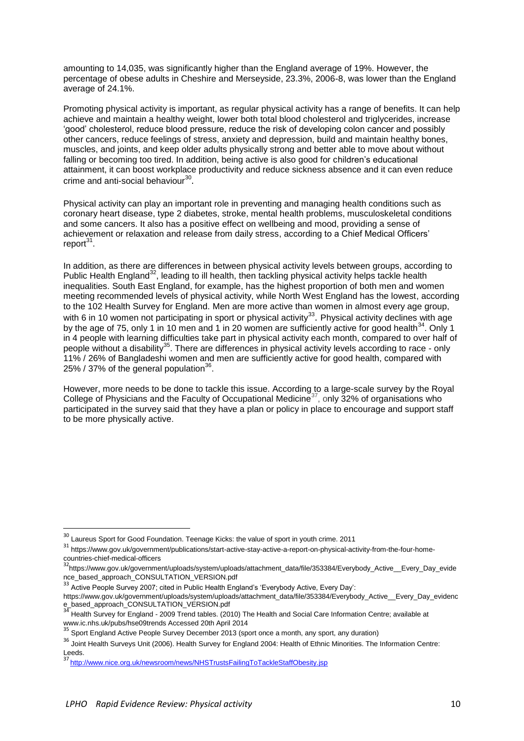amounting to 14,035, was significantly higher than the England average of 19%. However, the percentage of obese adults in Cheshire and Merseyside, 23.3%, 2006-8, was lower than the England average of 24.1%.

Promoting physical activity is important, as regular physical activity has a range of benefits. It can help achieve and maintain a healthy weight, lower both total blood cholesterol and triglycerides, increase 'good' cholesterol, reduce blood pressure, reduce the risk of developing colon cancer and possibly other cancers, reduce feelings of stress, anxiety and depression, build and maintain healthy bones, muscles, and joints, and keep older adults physically strong and better able to move about without falling or becoming too tired. In addition, being active is also good for children's educational attainment, it can boost workplace productivity and reduce sickness absence and it can even reduce crime and anti-social behaviour<sup>30</sup>.

Physical activity can play an important role in preventing and managing health conditions such as coronary heart disease, type 2 diabetes, stroke, mental health problems, musculoskeletal conditions and some cancers. It also has a positive effect on wellbeing and mood, providing a sense of achievement or relaxation and release from daily stress, according to a Chief Medical Officers' report<sup>31</sup>.

In addition, as there are differences in between physical activity levels between groups, according to Public Health England<sup>32</sup>, leading to ill health, then tackling physical activity helps tackle health inequalities. South East England, for example, has the highest proportion of both men and women meeting recommended levels of physical activity, while North West England has the lowest, according to the 102 Health Survey for England. Men are more active than women in almost every age group, with 6 in 10 women not participating in sport or physical activity<sup>33</sup>. Physical activity declines with age by the age of 75, only 1 in 10 men and 1 in 20 women are sufficiently active for good health $^{34}$ . Only 1 in 4 people with learning difficulties take part in physical activity each month, compared to over half of people without a disability<sup>35</sup>. There are differences in physical activity levels according to race - only 11% / 26% of Bangladeshi women and men are sufficiently active for good health, compared with 25% / 37% of the general population $36$ .

However, more needs to be done to tackle this issue. According to a large-scale survey by the Royal College of Physicians and the Faculty of Occupational Medicine<sup>37</sup>, only 32% of organisations who participated in the survey said that they have a plan or policy in place to encourage and support staff to be more physically active.

1

 $30$  Laureus Sport for Good Foundation. Teenage Kicks: the value of sport in youth crime. 2011

<sup>31</sup> https://www.gov.uk/government/publications/start-active-stay-active-a-report-on-physical-activity-from-the-four-home-

countries-chief-medical-officers<br><sup>32</sup>https://www.gov.uk/government/uploads/system/uploads/attachment\_data/file/353384/Everybody\_Active\_\_Every\_Day\_evide nce\_based\_approach\_CONSULTATION\_VERSION.pdf

<sup>&</sup>lt;sup>33</sup> Active People Survey 2007; cited in Public Health England's 'Everybody Active, Every Day':

https://www.gov.uk/government/uploads/system/uploads/attachment\_data/file/353384/Everybody\_Active\_\_Every\_Day\_evidenc e\_based\_approach\_CONSULTATION\_VERSION.pdf<br>
34 ... ... ... ...

<sup>34</sup> Health Survey for England - 2009 Trend tables. (2010) The Health and Social Care Information Centre; available at www.ic.nhs.uk/pubs/hse09trends Accessed 20th April 2014

<sup>35</sup> Sport England Active People Survey December 2013 (sport once a month, any sport, any duration)

<sup>36</sup> Joint Health Surveys Unit (2006). Health Survey for England 2004: Health of Ethnic Minorities. The Information Centre: Leeds.

<sup>37</sup> <http://www.nice.org.uk/newsroom/news/NHSTrustsFailingToTackleStaffObesity.jsp>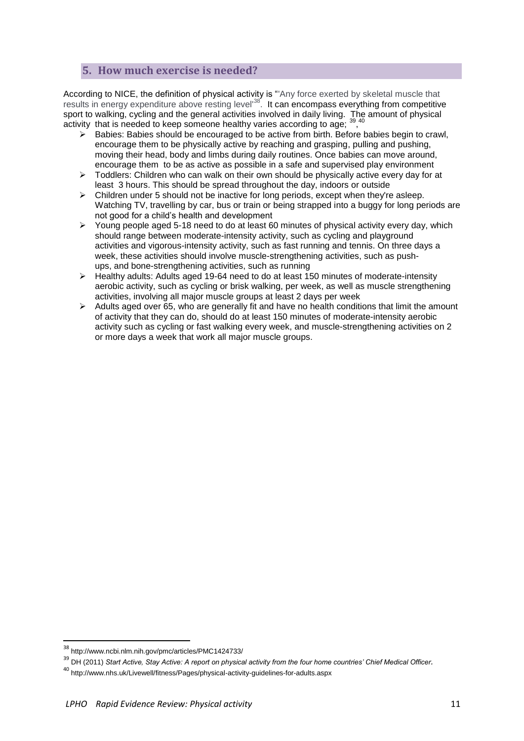## <span id="page-10-0"></span>**5. How much exercise is needed?**

According to NICE, the definition of physical activity is "'Any force exerted by skeletal muscle that results in energy expenditure above resting level<sup>38</sup>. It can encompass everything from competitive sport to walking, cycling and the general activities involved in daily living. The amount of physical activity that is needed to keep someone healthy varies according to age; 39,40

- $\triangleright$  Babies: Babies should be encouraged to be active from birth. Before babies begin to crawl. encourage them to be physically active by reaching and grasping, pulling and pushing, moving their head, body and limbs during daily routines. Once babies can move around, encourage them to be as active as possible in a safe and supervised play environment
- $\triangleright$  Toddlers: Children who can walk on their own should be physically active every day for at least 3 hours. This should be spread throughout the day, indoors or outside
- $\triangleright$  Children under 5 should not be inactive for long periods, except when they're asleep. Watching TV, travelling by car, bus or train or being strapped into a buggy for long periods are not good for a child's health and development
- $\triangleright$  Young people aged 5-18 need to do at least 60 minutes of physical activity every day, which should range between [moderate-intensity activity,](http://www.nhs.uk/Livewell/fitness/Pages/physical-activity-guidelines-for-young-people.aspx#moderate) such as cycling and playground activities and [vigorous-intensity activity,](http://www.nhs.uk/Livewell/fitness/Pages/physical-activity-guidelines-for-young-people.aspx#vigorous) such as fast running and tennis. On three days a week, these activities should involve [muscle-strengthening activities,](http://www.nhs.uk/Livewell/fitness/Pages/physical-activity-guidelines-for-young-people.aspx#muscle) such as pushups, and [bone-strengthening activities,](http://www.nhs.uk/Livewell/fitness/Pages/physical-activity-guidelines-for-young-people.aspx#bone) such as running
- Healthy adults: Adults aged 19-64 need to do at least 150 minutes of moderate-intensity aerobic activity, such as cycling or brisk walking, per week, as well as muscle strengthening activities, involving all major muscle groups at least 2 days per week
- $\triangleright$  Adults aged over 65, who are generally fit and have no health conditions that limit the amount of activity that they can do, should do at least 150 minutes of [moderate-intensity aerobic](http://www.nhs.uk/Livewell/fitness/Pages/physical-activity-guidelines-for-older-adults.aspx#moderate)  [activity](http://www.nhs.uk/Livewell/fitness/Pages/physical-activity-guidelines-for-older-adults.aspx#moderate) such as cycling or fast walking every week, and [muscle-strengthening activities](http://www.nhs.uk/Livewell/fitness/Pages/physical-activity-guidelines-for-older-adults.aspx#muscle) on 2 or more days a week that work all major muscle groups.

<sup>38</sup> http://www.ncbi.nlm.nih.gov/pmc/articles/PMC1424733/

<sup>39</sup> DH (2011) *Start Active, Stay Active: A report on physical activity from the four home countries' Chief Medical Officer.* 

<sup>40</sup> http://www.nhs.uk/Livewell/fitness/Pages/physical-activity-guidelines-for-adults.aspx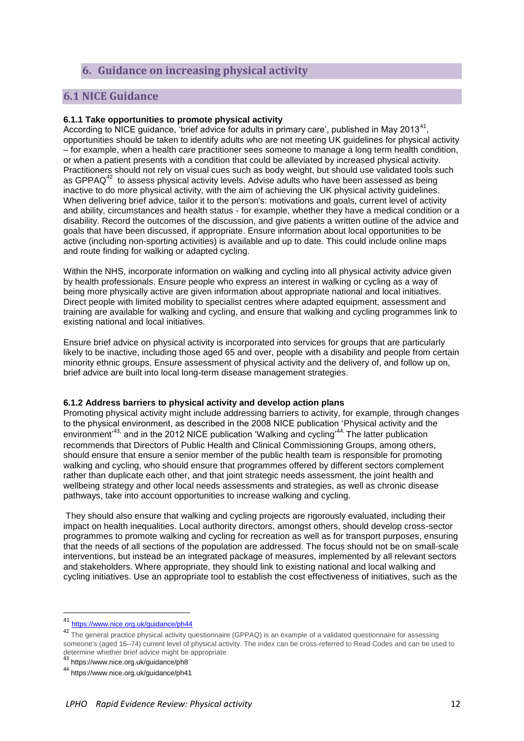## <span id="page-11-0"></span>**6. Guidance on increasing physical activity**

### <span id="page-11-1"></span>**6.1 NICE Guidance**

#### **6.1.1 Take opportunities to promote physical activity**

According to NICE guidance, 'brief advice for adults in primary care', published in May 2013<sup>41</sup>, opportunities should be taken to identify adults who are not meeting UK guidelines for physical activity – for example, when a health care practitioner sees someone to manage a long term health condition, or when a patient presents with a condition that could be alleviated by increased physical activity. Practitioners should not rely on visual cues such as body weight, but should use validated tools such as GPPAQ $42$  to assess physical activity levels. Advise adults who have been assessed as being inactive to do more physical activity, with the aim of achieving the [UK physical activity guidelines.](http://www.dh.gov.uk/en/Publicationsandstatistics/Publications/PublicationsPolicyAndGuidance/DH_127931) When delivering brief advice, tailor it to the person's: motivations and goals, current level of activity and ability, circumstances and health status - for example, whether they have a medical condition or a disability. Record the outcomes of the discussion, and give patients a written outline of the advice and goals that have been discussed, if appropriate. Ensure information about local opportunities to be active (including non-sporting activities) is available and up to date. This could include online maps and route finding for walking or adapted cycling.

Within the NHS, incorporate information on walking and cycling into all physical activity advice given by health professionals. Ensure people who express an interest in walking or cycling as a way of being more physically active are given information about appropriate national and local initiatives. Direct people with limited mobility to specialist centres where adapted equipment, assessment and training are available for walking and cycling, and ensure that walking and cycling programmes link to existing national and local initiatives.

Ensure brief advice on physical activity is incorporated into services for groups that are particularly likely to be inactive, including those aged 65 and over, people with a disability and people from certain minority ethnic groups. Ensure assessment of physical activity and the delivery of, and follow up on, brief advice are built into local long-term disease management strategies.

#### **6.1.2 Address barriers to physical activity and develop action plans**

Promoting physical activity might include addressing barriers to activity, for example, through changes to the physical environment, as described in the 2008 NICE publication ['Physical activity](https://www.nice.org.uk/guidance/ph8) and the environment<sup>,43,</sup> and in the 2012 NICE publication 'Walking and cycling<sup>,44.</sup> The latter publication recommends that Directors of Public Health and Clinical Commissioning Groups, among others, should ensure that ensure a senior member of the public health team is responsible for promoting walking and cycling, who should ensure that programmes offered by different sectors complement rather than duplicate each other, and that joint strategic needs assessment, the joint health and wellbeing strategy and other local needs assessments and strategies, as well as chronic disease pathways, take into account opportunities to increase walking and cycling.

They should also ensure that walking and cycling projects are rigorously evaluated, including their impact on health inequalities. Local authority directors, amongst others, should develop cross-sector programmes to promote walking and cycling for recreation as well as for transport purposes, ensuring that the needs of all sections of the population are addressed. The focus should not be on small-scale interventions, but instead be an integrated package of measures, implemented by all relevant sectors and stakeholders. Where appropriate, they should link to existing national and local walking and cycling initiatives. Use an appropriate tool to establish the cost effectiveness of initiatives, such as the

<sup>41</sup> <https://www.nice.org.uk/guidance/ph44>

<sup>&</sup>lt;sup>42</sup> The general practice physical activity questionnaire (GPPAQ) is an example of a validated questionnaire for assessing someone's (aged 16–74) current level of physical activity. The index can be cross-referred to Read Codes and can be used to determine whether brief advice might be appropriate<br><sup>43</sup> https://www.nice.org.uk/guidance/ph8

<sup>44</sup> https://www.nice.org.uk/guidance/ph41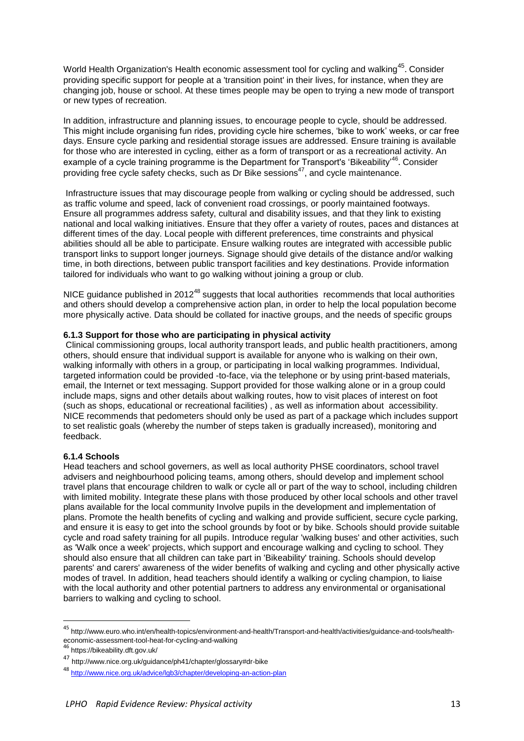World Health Organization's [Health economic assessment tool for cycling and walking](http://www.euro.who.int/en/what-we-do/health-topics/environment-and-health/Transport-and-health/activities/promotion-of-safe-walking-and-cycling-in-urban-areas/quantifying-the-positive-health-effects-of-cycling-and-walking/health-economic-assessment-tool-heat-for-cycling-and-walking)<sup>45</sup>. Consider providing specific support for people at a 'transition point' in their lives, for instance, when they are changing job, house or school. At these times people may be open to trying a new [mode](http://www.nice.org.uk/guidance/ph41/chapter/glossary#mode) of transport or new types of recreation.

In addition, infrastructure and planning issues, to encourage people to cycle, should be addressed. This might include organising fun rides, providing cycle hire schemes, 'bike to work' weeks, or car free days. Ensure cycle parking and residential storage issues are addressed. Ensure training is available for those who are interested in cycling, either as a form of transport or as a recreational activity. An example of a cycle training programme is the Department for Transport's ['Bikeability'](http://www.dft.gov.uk/bikeability/)<sup>46</sup>. Consider providing free cycle safety checks, such as [Dr Bike](http://www.nice.org.uk/guidance/ph41/chapter/glossary#dr-bike) sessions<sup>47</sup>, and cycle maintenance.

Infrastructure issues that may discourage people from walking or cycling should be addressed, such as traffic volume and speed, lack of convenient road crossings, or poorly maintained footways. Ensure all programmes address safety, cultural and disability issues, and that they link to existing national and local walking initiatives. Ensure that they offer a variety of routes, paces and distances at different times of the day. Local people with different preferences, time constraints and physical abilities should all be able to participate. Ensure walking routes are integrated with accessible public transport links to support longer journeys. Signage should give details of the distance and/or walking time, in both directions, between public transport facilities and key destinations. Provide information tailored for individuals who want to go walking without joining a group or club.

NICE guidance published in  $2012^{48}$  suggests that local authorities recommends that local authorities and others should develop a comprehensive action plan, in order to help the local population become more physically active. Data should be collated for inactive groups, and the needs of specific groups

#### **6.1.3 Support for those who are participating in physical activity**

Clinical commissioning groups, local authority transport leads, and public health practitioners, among others, should ensure that individual support is available for anyone who is walking on their own, walking informally with others in a group, or participating in local walking programmes. Individual, targeted information could be provided -to-face, via the telephone or by using print-based materials, email, the Internet or text messaging. Support provided for those walking alone or in a group could include maps, signs and other details about walking routes, how to visit places of interest on foot (such as shops, educational or recreational facilities) , as well as information about accessibility. NICE recommends that pedometers should only be used as part of a package which includes support to set realistic goals (whereby the number of steps taken is gradually increased), monitoring and feedback.

#### **6.1.4 Schools**

Head teachers and school governers, as well as local authority PHSE coordinators, school travel advisers and neighbourhood policing teams, among others, should develop and implement school travel plans that encourage children to walk or cycle all or part of the way to school, including children with limited mobility. Integrate these plans with those produced by other local schools and other travel plans available for the local community Involve pupils in the development and implementation of plans. Promote the health benefits of cycling and walking and provide sufficient, secure cycle parking, and ensure it is easy to get into the school grounds by foot or by bike. Schools should provide suitable cycle and road safety training for all pupils. Introduce regular 'walking buses' and other activities, such as 'Walk once a week' projects, which support and encourage walking and cycling to school. They should also ensure that all children can take part in 'Bikeability' training. Schools should develop parents' and carers' awareness of the wider benefits of walking and cycling and other physically active modes of travel. In addition, head teachers should identify a walking or cycling champion, to liaise with the local authority and other potential partners to address any environmental or organisational barriers to walking and cycling to school.

1

<sup>&</sup>lt;sup>45</sup> http://www.euro.who.int/en/health-topics/environment-and-health/Transport-and-health/activities/guidance-and-tools/healtheconomic-assessment-tool-heat-for-cycling-and-walking<br><sup>46</sup> https://bikeability.dft.gov.uk/

<sup>47</sup> http://www.nice.org.uk/guidance/ph41/chapter/glossary#dr-bike

<sup>48</sup> <http://www.nice.org.uk/advice/lgb3/chapter/developing-an-action-plan>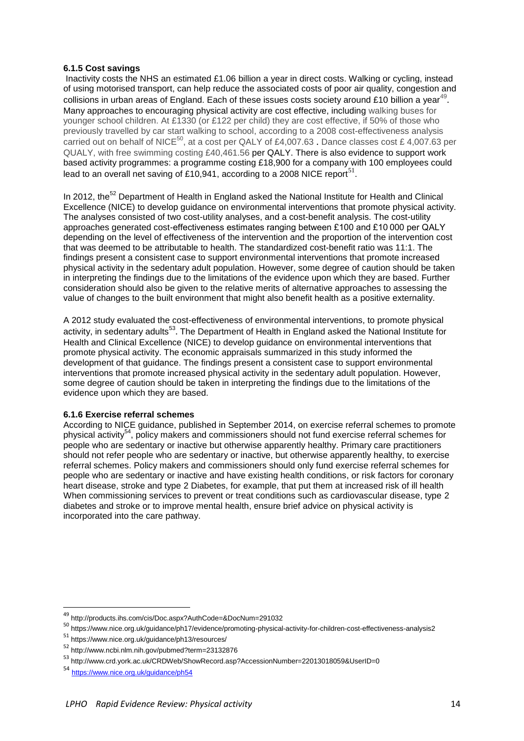#### **6.1.5 Cost savings**

Inactivity costs the NHS an estimated £1.06 billion a year in direct costs. Walking or cycling, instead of using motorised transport, can help reduce the associated costs of poor air quality, congestion and collisions in urban areas of England. Each of these issues costs society around £10 billion a year<sup>49</sup>. Many approaches to encouraging physical activity are cost effective, including walking buses for younger school children. At £1330 (or £122 per child) they are cost effective, if 50% of those who previously travelled by car start walking to school, according to a 2008 cost-effectiveness analysis carried out on behalf of NICE<sup>50</sup>, at a cost per QALY of £4,007.63 . Dance classes cost £ 4,007.63 per QUALY, with free swimming costing £40,461.56 per QALY. There is also evidence to support work based activity programmes: a programme costing £18,900 for a company with 100 employees could lead to an overall net saving of £10,941, according to a 2008 NICE report<sup>51</sup>.

In 2012, the<sup>52</sup> Department of Health in England asked the National Institute for Health and Clinical Excellence (NICE) to develop guidance on environmental interventions that promote physical activity. The analyses consisted of two cost-utility analyses, and a cost-benefit analysis. The cost-utility approaches generated cost-effectiveness estimates ranging between £100 and £10 000 per QALY depending on the level of effectiveness of the intervention and the proportion of the intervention cost that was deemed to be attributable to health. The standardized cost-benefit ratio was 11:1. The findings present a consistent case to support environmental interventions that promote increased physical activity in the sedentary adult population. However, some degree of caution should be taken in interpreting the findings due to the limitations of the evidence upon which they are based. Further consideration should also be given to the relative merits of alternative approaches to assessing the value of changes to the built environment that might also benefit health as a positive externality.

A 2012 study evaluated the cost-effectiveness of environmental interventions, to promote physical activity, in sedentary adults<sup>53</sup>. The Department of Health in England asked the National Institute for Health and Clinical Excellence (NICE) to develop guidance on environmental interventions that promote physical activity. The economic appraisals summarized in this study informed the development of that guidance. The findings present a consistent case to support environmental interventions that promote increased physical activity in the sedentary adult population. However, some degree of caution should be taken in interpreting the findings due to the limitations of the evidence upon which they are based.

#### **6.1.6 Exercise referral schemes**

According to NICE guidance, published in September 2014, on exercise referral schemes to promote physical activity<sup>54</sup>, policy makers and commissioners should not fund exercise referral schemes for people who are [sedentary](https://www.nice.org.uk/guidance/ph54/chapter/glossary#sedentary) or [inactive](https://www.nice.org.uk/guidance/ph54/chapter/glossary#inactive) but otherwise apparently healthy. Primary care practitioners should not refer people who are sedentary or inactive, but otherwise apparently healthy, to exercise referral schemes. Policy makers and commissioners should only fund exercise referral schemes for people who are [sedentary](https://www.nice.org.uk/guidance/ph54/chapter/glossary#sedentary) or [inactive](https://www.nice.org.uk/guidance/ph54/chapter/glossary#inactive) and have existing health conditions, or risk factors for coronary heart disease, stroke and type 2 Diabetes, for example, that put them at increased risk of ill health When commissioning services to prevent or treat conditions such as cardiovascular disease, type 2 diabetes and stroke or to improve mental health, ensure brief advice on physical activity is incorporated into the care pathway.

<sup>49</sup> http://products.ihs.com/cis/Doc.aspx?AuthCode=&DocNum=291032

<sup>50</sup> https://www.nice.org.uk/guidance/ph17/evidence/promoting-physical-activity-for-children-cost-effectiveness-analysis2

<sup>51</sup> https://www.nice.org.uk/guidance/ph13/resources/

<sup>52</sup> http://www.ncbi.nlm.nih.gov/pubmed?term=23132876

<sup>53</sup> http://www.crd.york.ac.uk/CRDWeb/ShowRecord.asp?AccessionNumber=22013018059&UserID=0

<sup>54</sup> <https://www.nice.org.uk/guidance/ph54>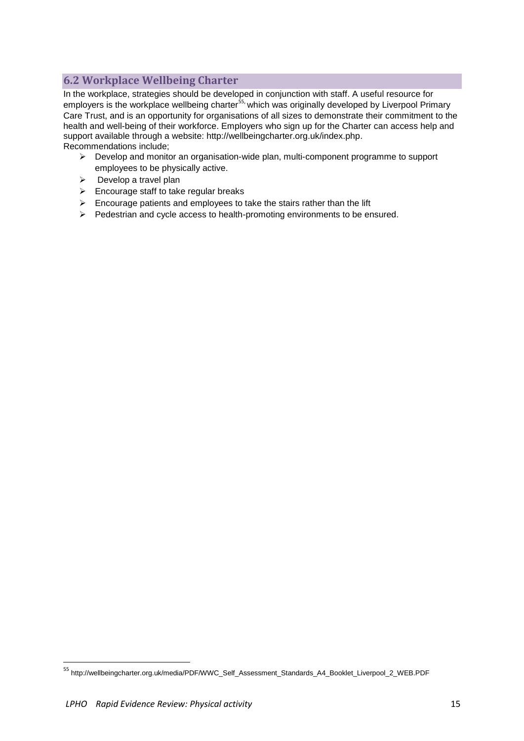## <span id="page-14-0"></span>**6.2 Workplace Wellbeing Charter**

In the workplace, strategies should be developed in conjunction with staff. A useful resource for employers is the workplace wellbeing charter<sup>55,</sup> which was originally developed by Liverpool Primary Care Trust, and is an opportunity for organisations of all sizes to demonstrate their commitment to the health and well-being of their workforce. Employers who sign up for the Charter can access help and support available through a website: [http://wellbeingcharter.org.uk/index.php.](http://wellbeingcharter.org.uk/index.php) Recommendations include;

- Develop and monitor an organisation-wide plan, multi-component programme to support employees to be physically active.
- $\triangleright$  Develop a travel plan
- $\triangleright$  Encourage staff to take regular breaks
- $\triangleright$  Encourage patients and employees to take the stairs rather than the lift
- $\triangleright$  Pedestrian and cycle access to health-promoting environments to be ensured.

<sup>55</sup> http://wellbeingcharter.org.uk/media/PDF/WWC\_Self\_Assessment\_Standards\_A4\_Booklet\_Liverpool\_2\_WEB.PDF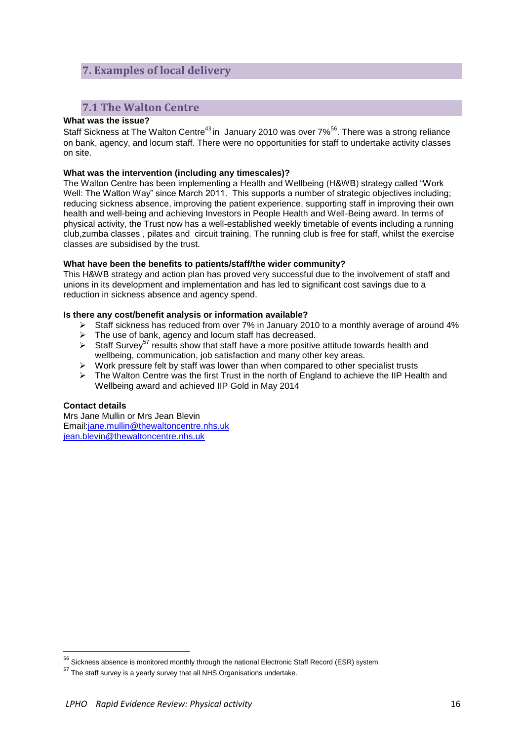## <span id="page-15-0"></span>**7. Examples of local delivery**

## <span id="page-15-1"></span>**7.1 The Walton Centre**

#### **What was the issue?**

Staff Sickness at The Walton Centre<sup>43</sup> in January 2010 was over 7%<sup>56</sup>. There was a strong reliance on bank, agency, and locum staff. There were no opportunities for staff to undertake activity classes on site.

#### **What was the intervention (including any timescales)?**

The Walton Centre has been implementing a Health and Wellbeing (H&WB) strategy called "Work Well: The Walton Way" since March 2011. This supports a number of strategic objectives including; reducing sickness absence, improving the patient experience, supporting staff in improving their own health and well-being and achieving Investors in People Health and Well-Being award. In terms of physical activity, the Trust now has a well-established weekly timetable of events including a running club,zumba classes , pilates and circuit training. The running club is free for staff, whilst the exercise classes are subsidised by the trust.

#### **What have been the benefits to patients/staff/the wider community?**

This H&WB strategy and action plan has proved very successful due to the involvement of staff and unions in its development and implementation and has led to significant cost savings due to a reduction in sickness absence and agency spend.

#### **Is there any cost/benefit analysis or information available?**

- $\triangleright$  Staff sickness has reduced from over 7% in January 2010 to a monthly average of around 4%
- $\triangleright$  The use of bank, agency and locum staff has decreased.
- Staff Survey<sup>57</sup> results show that staff have a more positive attitude towards health and wellbeing, communication, job satisfaction and many other key areas.
- Work pressure felt by staff was lower than when compared to other specialist trusts
- $\triangleright$  The Walton Centre was the first Trust in the north of England to achieve the IIP Health and Wellbeing award and achieved IIP Gold in May 2014

#### **Contact details**

1

Mrs Jane Mullin or Mrs Jean Blevin Email[:jane.mullin@thewaltoncentre.nhs.uk](mailto:jane.mullin@thewaltoncentre.nhs.uk) [jean.blevin@thewaltoncentre.nhs.uk](mailto:jean.blevin@thewaltoncentre.nhs.uk)

<sup>&</sup>lt;sup>56</sup> Sickness absence is monitored monthly through the national Electronic Staff Record (ESR) system

 $57$  The staff survey is a yearly survey that all NHS Organisations undertake.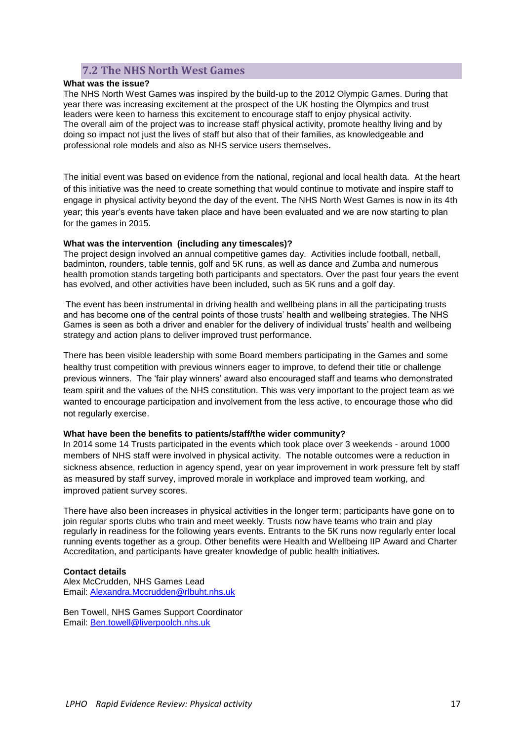## **7.2 The NHS North West Games**

#### <span id="page-16-0"></span>**What was the issue?**

The NHS North West Games was inspired by the build-up to the 2012 Olympic Games. During that year there was increasing excitement at the prospect of the UK hosting the Olympics and trust leaders were keen to harness this excitement to encourage staff to enjoy physical activity. The overall aim of the project was to increase staff physical activity, promote healthy living and by doing so impact not just the lives of staff but also that of their families, as knowledgeable and professional role models and also as NHS service users themselves.

The initial event was based on evidence from the national, regional and local health data. At the heart of this initiative was the need to create something that would continue to motivate and inspire staff to engage in physical activity beyond the day of the event. The NHS North West Games is now in its 4th year; this year's events have taken place and have been evaluated and we are now starting to plan for the games in 2015.

#### **What was the intervention (including any timescales)?**

The project design involved an annual competitive games day. Activities include football, netball, badminton, rounders, table tennis, golf and 5K runs, as well as dance and Zumba and numerous health promotion stands targeting both participants and spectators. Over the past four years the event has evolved, and other activities have been included, such as 5K runs and a golf day.

The event has been instrumental in driving health and wellbeing plans in all the participating trusts and has become one of the central points of those trusts' health and wellbeing strategies. The NHS Games is seen as both a driver and enabler for the delivery of individual trusts' health and wellbeing strategy and action plans to deliver improved trust performance.

There has been visible leadership with some Board members participating in the Games and some healthy trust competition with previous winners eager to improve, to defend their title or challenge previous winners. The 'fair play winners' award also encouraged staff and teams who demonstrated team spirit and the values of the NHS constitution. This was very important to the project team as we wanted to encourage participation and involvement from the less active, to encourage those who did not regularly exercise.

#### **What have been the benefits to patients/staff/the wider community?**

In 2014 some 14 Trusts participated in the events which took place over 3 weekends - around 1000 members of NHS staff were involved in physical activity. The notable outcomes were a reduction in sickness absence, reduction in agency spend, year on year improvement in work pressure felt by staff as measured by staff survey, improved morale in workplace and improved team working, and improved patient survey scores.

There have also been increases in physical activities in the longer term; participants have gone on to join regular sports clubs who train and meet weekly. Trusts now have teams who train and play regularly in readiness for the following years events. Entrants to the 5K runs now regularly enter local running events together as a group. Other benefits were Health and Wellbeing IIP Award and Charter Accreditation, and participants have greater knowledge of public health initiatives.

#### **Contact details**

Alex McCrudden, NHS Games Lead Email: [Alexandra.Mccrudden@rlbuht.nhs.uk](mailto:Alexandra.Mccrudden@rlbuht.nhs.uk)

Ben Towell, NHS Games Support Coordinator Email: [Ben.towell@liverpoolch.nhs.uk](mailto:Ben.towell@liverpoolch.nhs.uk)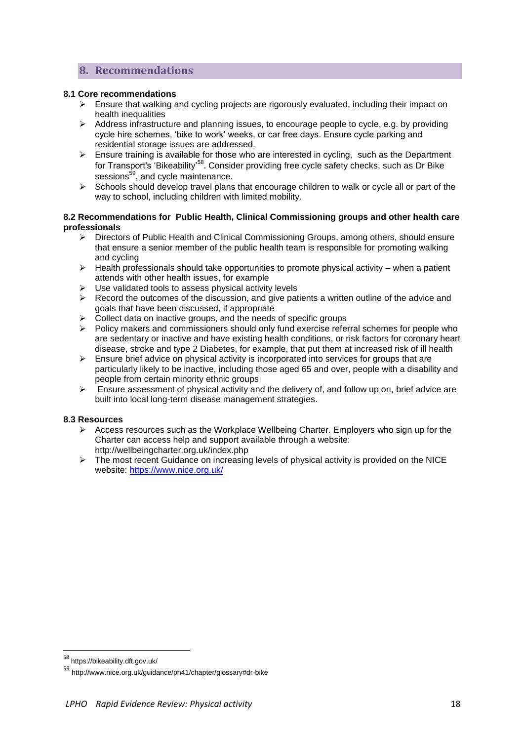## <span id="page-17-0"></span>**8. Recommendations**

#### **8.1 Core recommendations**

- $\geq$  Ensure that walking and cycling projects are rigorously evaluated, including their impact on health inequalities
- $\triangleright$  Address infrastructure and planning issues, to encourage people to cycle, e.g. by providing cycle hire schemes, 'bike to work' weeks, or car free days. Ensure cycle parking and residential storage issues are addressed.
- $\triangleright$  Ensure training is available for those who are interested in cycling, such as the Department for Transport's ['Bikeability'](http://www.dft.gov.uk/bikeability/)<sup>58</sup>. Consider providing free cycle safety checks, such as [Dr Bike](http://www.nice.org.uk/guidance/ph41/chapter/glossary#dr-bike) sessions<sup>59</sup>, and cycle maintenance.
- $\triangleright$  Schools should develop travel plans that encourage children to walk or cycle all or part of the way to school, including children with limited mobility.

#### **8.2 Recommendations for Public Health, Clinical Commissioning groups and other health care professionals**

- Directors of Public Health and Clinical Commissioning Groups, among others, should ensure that ensure a senior member of the public health team is responsible for promoting walking and cycling
- $\triangleright$  Health professionals should take opportunities to promote physical activity when a patient attends with other health issues, for example
- $\triangleright$  Use validated tools to assess physical activity levels
- $\triangleright$  Record the outcomes of the discussion, and give patients a written outline of the advice and goals that have been discussed, if appropriate
- $\triangleright$  Collect data on inactive groups, and the needs of specific groups
- $\triangleright$  Policy makers and commissioners should only fund exercise referral schemes for people who are [sedentary](https://www.nice.org.uk/guidance/ph54/chapter/glossary#sedentary) or [inactive](https://www.nice.org.uk/guidance/ph54/chapter/glossary#inactive) and have existing health conditions, or risk factors for coronary heart disease, stroke and type 2 Diabetes, for example, that put them at increased risk of ill health
- $\triangleright$  Ensure brief advice on physical activity is incorporated into services for groups that are particularly likely to be inactive, including those aged 65 and over, people with a disability and people from certain minority ethnic groups
- $\triangleright$  Ensure assessment of physical activity and the delivery of, and follow up on, brief advice are built into local long-term disease management strategies.

#### **8.3 Resources**

- $\triangleright$  Access resources such as the Workplace Wellbeing Charter. Employers who sign up for the Charter can access help and support available through a website: <http://wellbeingcharter.org.uk/index.php>
- $\triangleright$  The most recent Guidance on increasing levels of physical activity is provided on the NICE website:<https://www.nice.org.uk/>

<sup>58</sup> https://bikeability.dft.gov.uk/

<sup>59</sup> http://www.nice.org.uk/guidance/ph41/chapter/glossary#dr-bike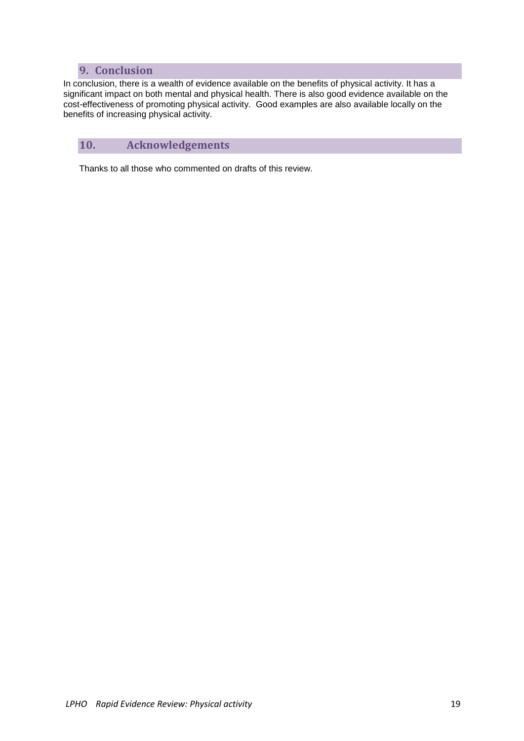## **9. Conclusion**

<span id="page-18-0"></span>In conclusion, there is a wealth of evidence available on the benefits of physical activity. It has a significant impact on both mental and physical health. There is also good evidence available on the cost-effectiveness of promoting physical activity. Good examples are also available locally on the benefits of increasing physical activity.

## <span id="page-18-1"></span>**10. Acknowledgements**

Thanks to all those who commented on drafts of this review.